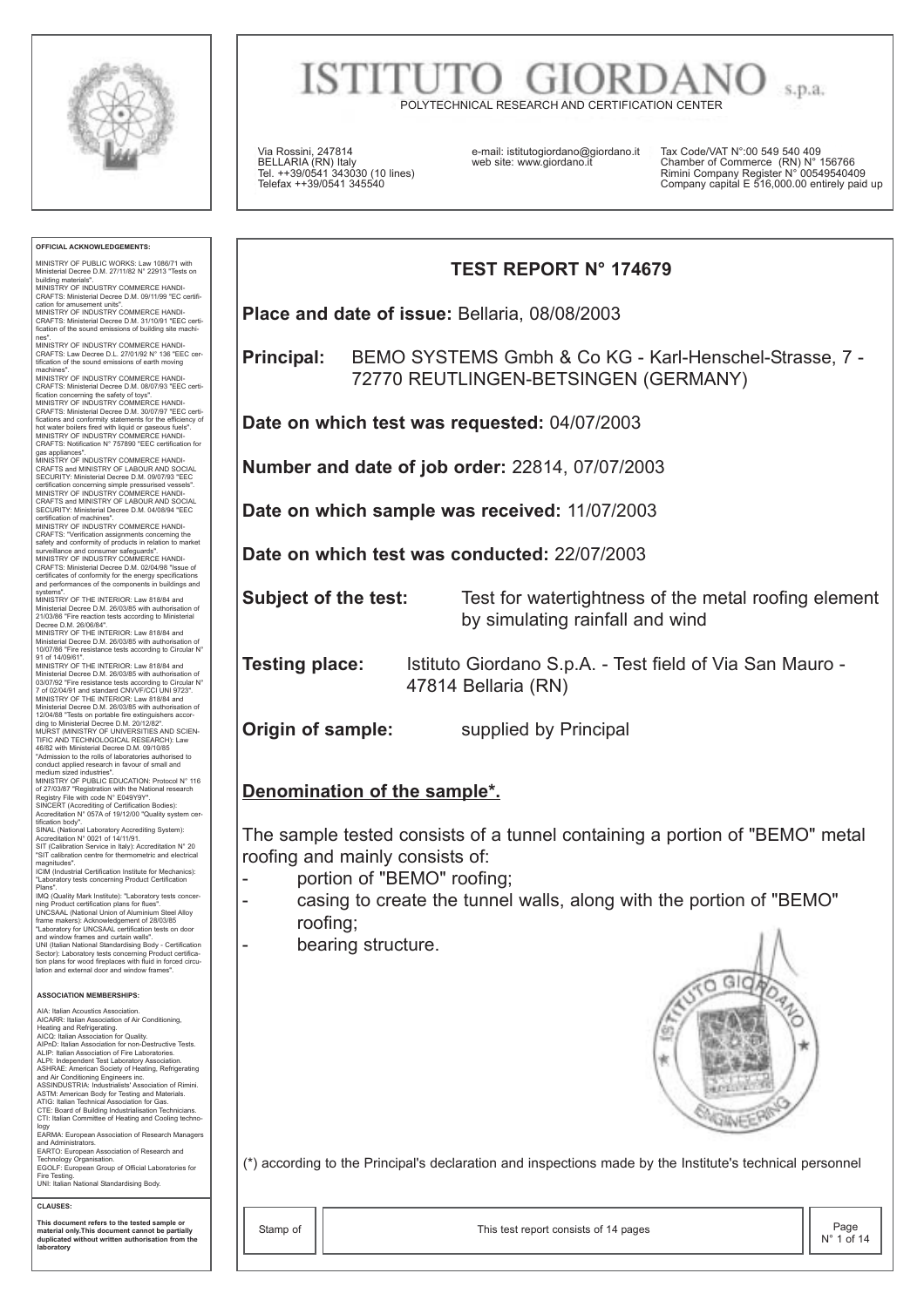

**OFFICIAL ACKNOWLEDGEMENTS:** MINISTRY OF PUBLIC WORKS: Law 1086/71 with Ministerial Decree D.M. 27/11/82 N° 22913 "Tests on building materials".<br>MINISTRY OF INDUSTRY COMMERCE HANDI-<br>CRAFTS: Ministerial Decree D.M. 09/11/99 "EC certifi-<br>cation for amusement units".<br>MINISTRY OF INDUSTRY COMMERCE HANDI-<br>CRAFTS: Ministerial Decree D.M. 31/10/91 "EE nes". MINISTRY OF INDUSTRY COMMERCE HANDI-CRAFTS: Law Decree D.L. 27/01/92 N° 136 "EEC cer-tification of the sound emissions of earth moving machines". MINISTRY OF INDUSTRY COMMERCE HANDI-CRAFTS: Ministerial Decree D.M. 08/07/93 "EEC certi-fication concerning the safety of toys". MINISTRY OF INDUSTRY COMMERCE HANDI-CRAFTS: Ministerial Decree D.M. 30/07/97 "EEC certi-<br>fications and conformity statements for the efficiency of<br>hot water boilers fired with liquid or gaseous fuels".<br>MINISTRY OF INDUSTRY COMMERCE HANDI-<br>CRAFTS: Notificatio gas appliances". MINISTRY OF INDUSTRY COMMERCE HANDI-CRAFTS and MINISTRY OF LABOUR AND SOCIAL SECURITY: Ministerial Decree D.M. 09/07/93 "EEC<br>eertification concerning simple pressurised vessels".<br>MINISTRY OF INDUSTRY COMMERCE HANDI-<br>CRAFTS and MINISTRY OF LABOUR AND SOCIAL<br>SECURITY: Ministerial Decree D.M. 04/08/94 CRAFTS: "Verification assignments concerning the safety and conformity of products in relation to market surveillance and consumer safeguards". MINISTRY OF INDUSTRY COMMERCE HANDI-CRAFTS: Ministerial Decree D.M. 02/04/98 "Issue of certificates of conformity for the energy specifications and performances of the components in buildings and systems". MINISTRY OF THE INTERIOR: Law 818/84 and Ministerial Decree D.M. 26/03/85 with authorisation of<br>21/03/86 "Fire reaction tests according to Ministerial<br>Decree D.M. 26/06/84".<br>MINISTRY OF THE INTERIOR: Law 818/84 and<br>Ministerial Decree D.M. 26/03/85 with authorisat Ministerial Decree D.M. 26/03/85 with authorisation of 03/07/92 "Fire resistance tests according to Circular N° 7 of 02/04/91 and standard CNVVF/CCI UNI 9723". MINISTRY OF THE INTERIOR: Law 81884 and<br>Ministerial Decree D.M. 26/03/85 with authorisation of<br>12/04/88 "Tests on portable fire extinguishers according to Ministerial Decree D.M. 20/12/82".<br>MURST (MINISTRY OF UNIVERSITIES whitest upped industries".<br>medium sized industries".<br>MINISTRY OF PUBLIC EDUCATION: Protocol N° 116 MINISTRY OF PUBLIC EDUCATION: Protool N° 116<br>of 27/03/87 "Registration with the National research<br>Registry File with code N° E049/9Y".<br>SINCERT (Accrediting of Certification Bodies):<br>Accreditation N° 057A of 19/12/00 "Quali ICIM (Industrial Certification Institute for Mechanics): "Laboratory tests concerning Product Certification Plans". IMQ (Quality Mark Institute): "Laboratory tests concerning Product certification plans for flues".<br>DINCSAAL (National Union of Aluminium Steel Alloy UNCSAAL (National Union of Aluminium Steel Alloy<br>Thack methanic State (State March 2003/365)<br>Taboratory for UNCSAAL certification tests on door<br>and window frames and curtain walls".<br>UNI (Italian National Standardising Body **ASSOCIATION MEMBERSHIPS:** AIA: Italian Acoustics Association.<br>AICARR: Italian Association of Air Conditioning,<br>Heating and Refigerating.<br>AICQ: Italian Association for Quality.<br>AICQ: Italian Association for Quality.<br>AICD: Italian Association for non Iogy<br>FARMA: European Association of Research Managers and Administrators. EARTO: European Association of Research and Technology Organisation. EGOLF: European Group of Official Laboratories for Fire Testing. UNI: Italian National Standardising Body. **CLAUSES: This document refers to the tested sample or material only.This document cannot be partially duplicated without written authorisation from the laboratory**

## **ISTITUT** s.p.a.

POLYTECHNICAL RESEARCH AND CERTIFICATION CENTER

Via Rossini, 247814 BELLARIA (RN) Italy Tel. ++39/0541 343030 (10 lines) Telefax ++39/0541 345540

e-mail: istitutogiordano@giordano.it web site: www.giordano.it

Tax Code/VAT N°:00 549 540 409 Chamber of Commerce (RN) N° 156766 Rimini Company Register N° 00549540409 Company capital E 516,000.00 entirely paid up

# **TEST REPORT N° 174679**

**Place and date of issue:** Bellaria, 08/08/2003

**Principal:** BEMO SYSTEMS Gmbh & Co KG - Karl-Henschel-Strasse, 7 - 72770 REUTLINGEN-BETSINGEN (GERMANY)

**Date on which test was requested:** 04/07/2003

**Number and date of job order:** 22814, 07/07/2003

**Date on which sample was received:** 11/07/2003

**Date on which test was conducted:** 22/07/2003

**Subject of the test:** Test for watertightness of the metal roofing element

by simulating rainfall and wind **Testing place:** Istituto Giordano S.p.A. - Test field of Via San Mauro -

47814 Bellaria (RN)

**Origin of sample:** supplied by Principal

#### **Denomination of the sample\*.**

The sample tested consists of a tunnel containing a portion of "BEMO" metal roofing and mainly consists of:

- portion of "BEMO" roofing;
- casing to create the tunnel walls, along with the portion of "BEMO" roofing;
- bearing structure.



(\*) according to the Principal's declaration and inspections made by the Institute's technical personnel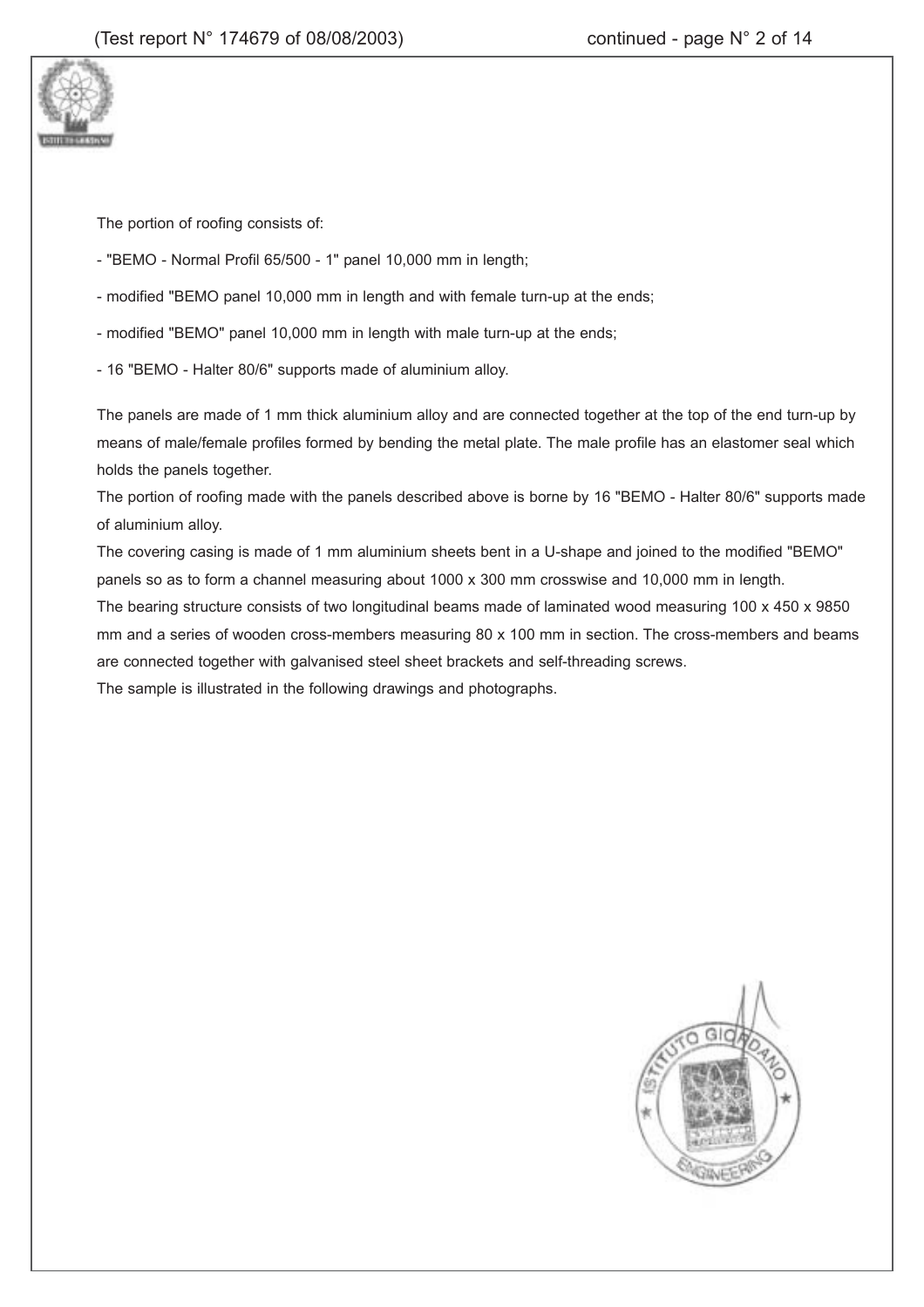

The portion of roofing consists of:

- "BEMO Normal Profil 65/500 1" panel 10,000 mm in length;
- modified "BEMO panel 10,000 mm in length and with female turn-up at the ends;
- modified "BEMO" panel 10,000 mm in length with male turn-up at the ends;
- 16 "BEMO Halter 80/6" supports made of aluminium alloy.

The panels are made of 1 mm thick aluminium alloy and are connected together at the top of the end turn-up by means of male/female profiles formed by bending the metal plate. The male profile has an elastomer seal which holds the panels together.

The portion of roofing made with the panels described above is borne by 16 "BEMO - Halter 80/6" supports made of aluminium alloy.

The covering casing is made of 1 mm aluminium sheets bent in a U-shape and joined to the modified "BEMO" panels so as to form a channel measuring about 1000 x 300 mm crosswise and 10,000 mm in length. The bearing structure consists of two longitudinal beams made of laminated wood measuring 100 x 450 x 9850

mm and a series of wooden cross-members measuring 80 x 100 mm in section. The cross-members and beams are connected together with galvanised steel sheet brackets and self-threading screws.

The sample is illustrated in the following drawings and photographs.

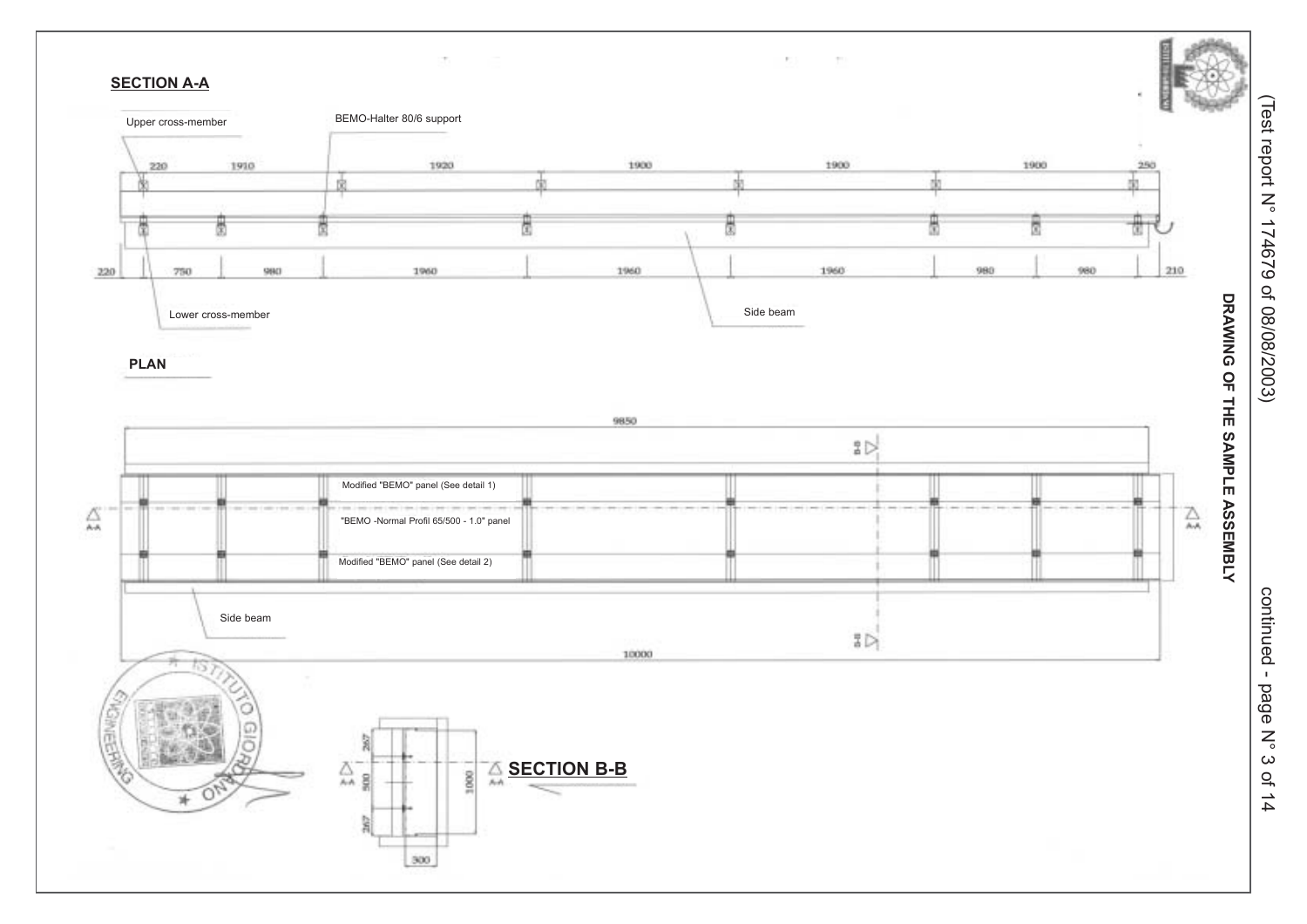

continued - page  $\sum_{\circ}$  $\omega$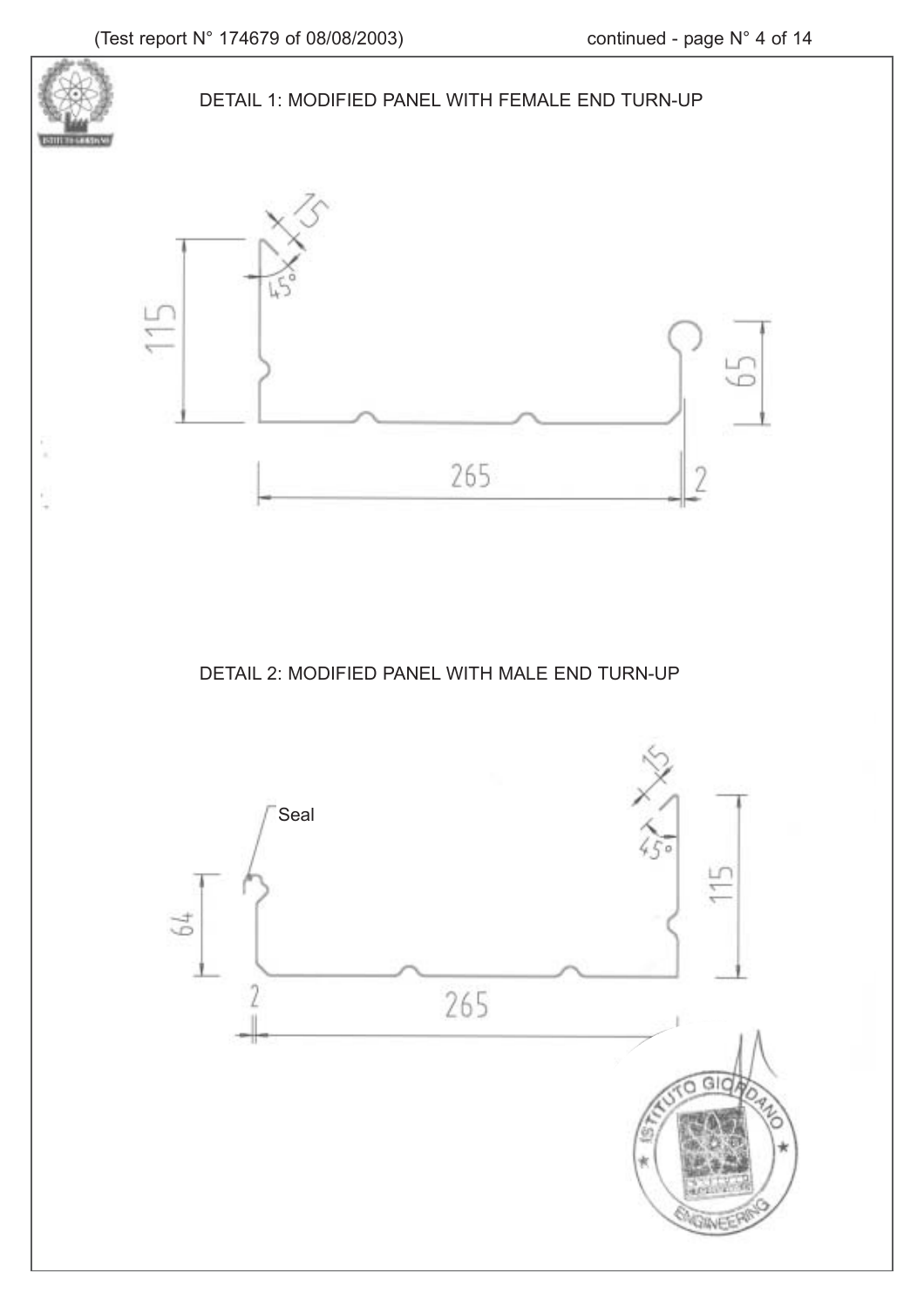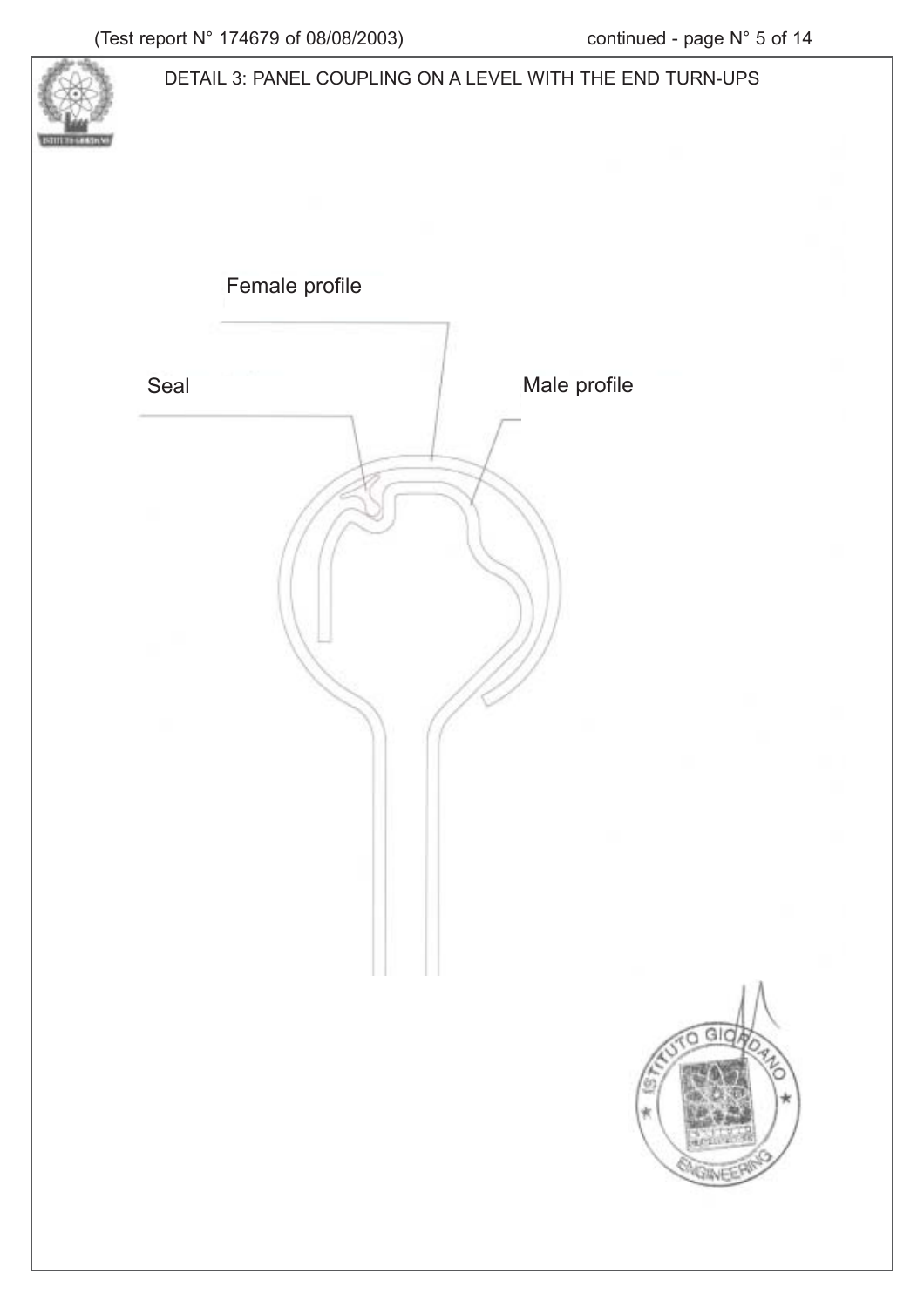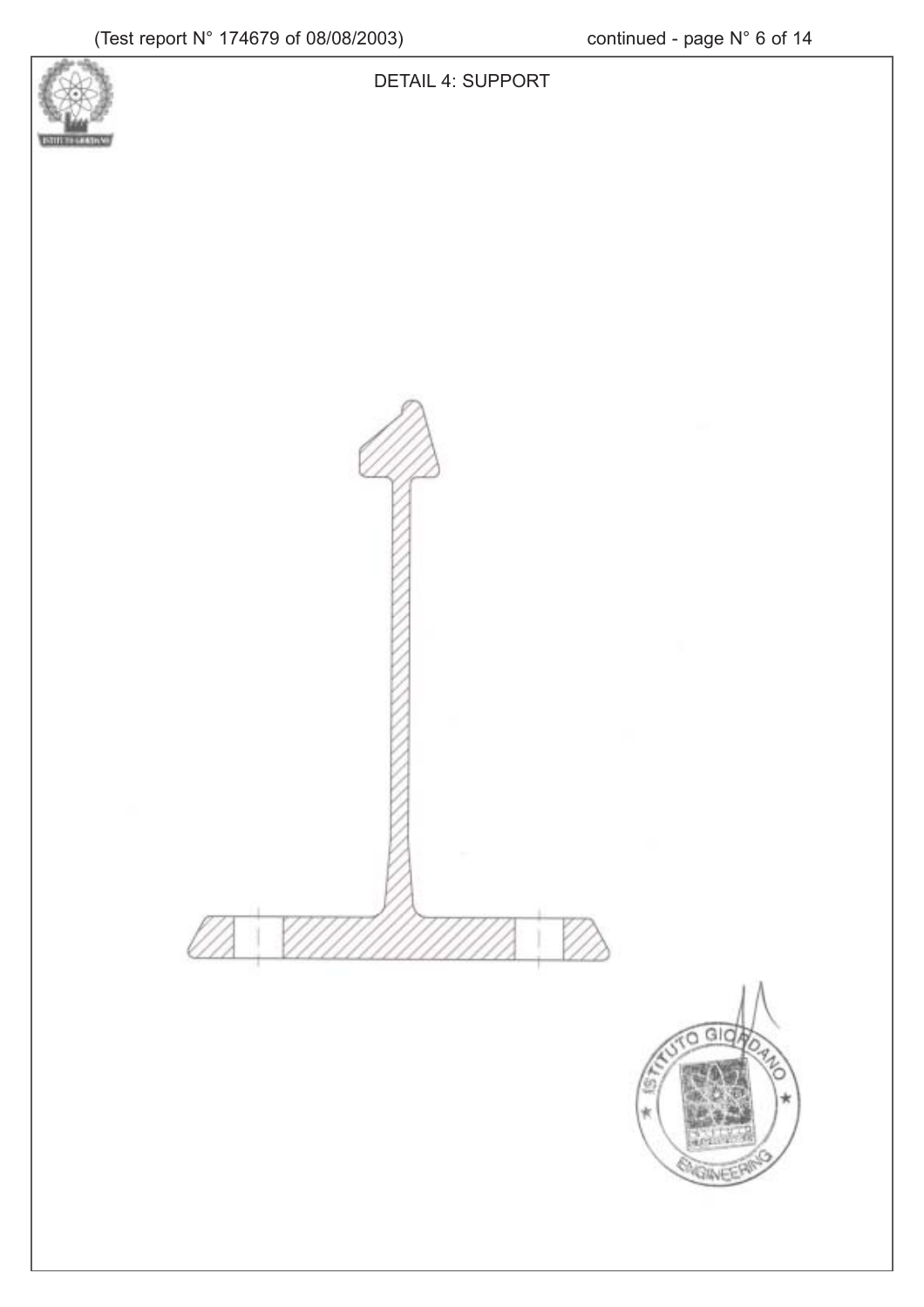

a

**RAF** 



DETAIL 4: SUPPORT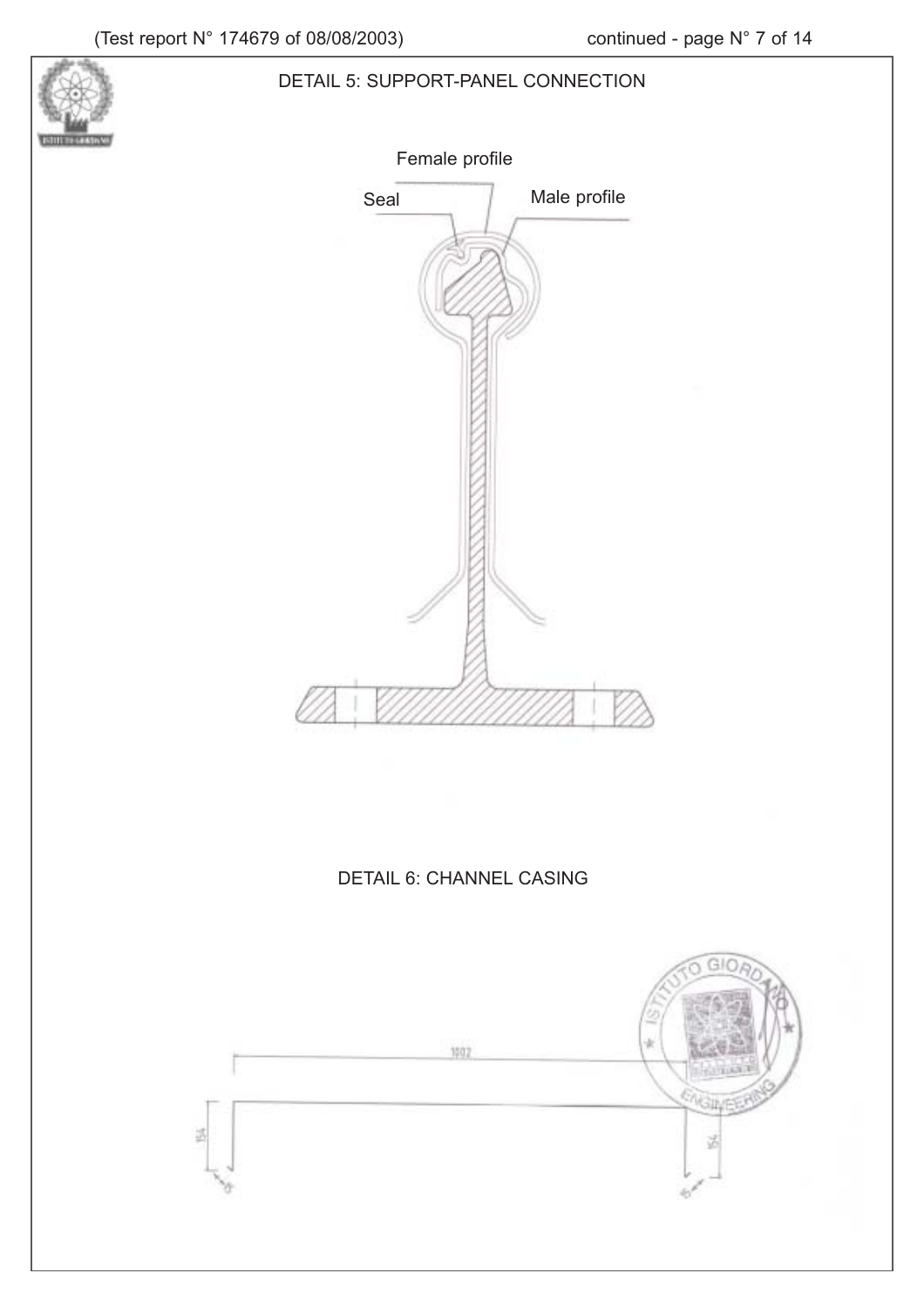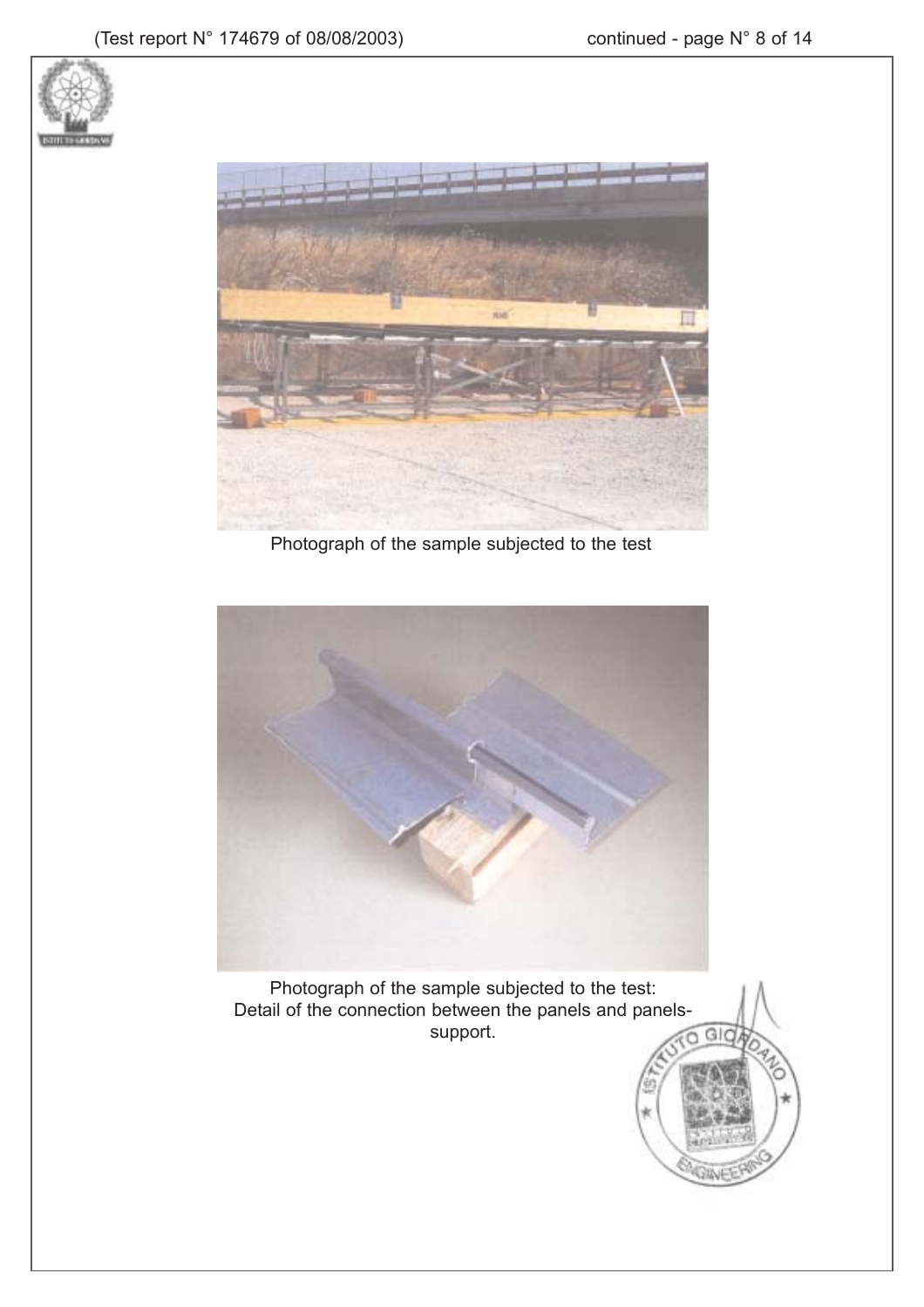n





Photograph of the sample subjected to the test



Photograph of the sample subjected to the test: Detail of the connection between the panels and panelssupport.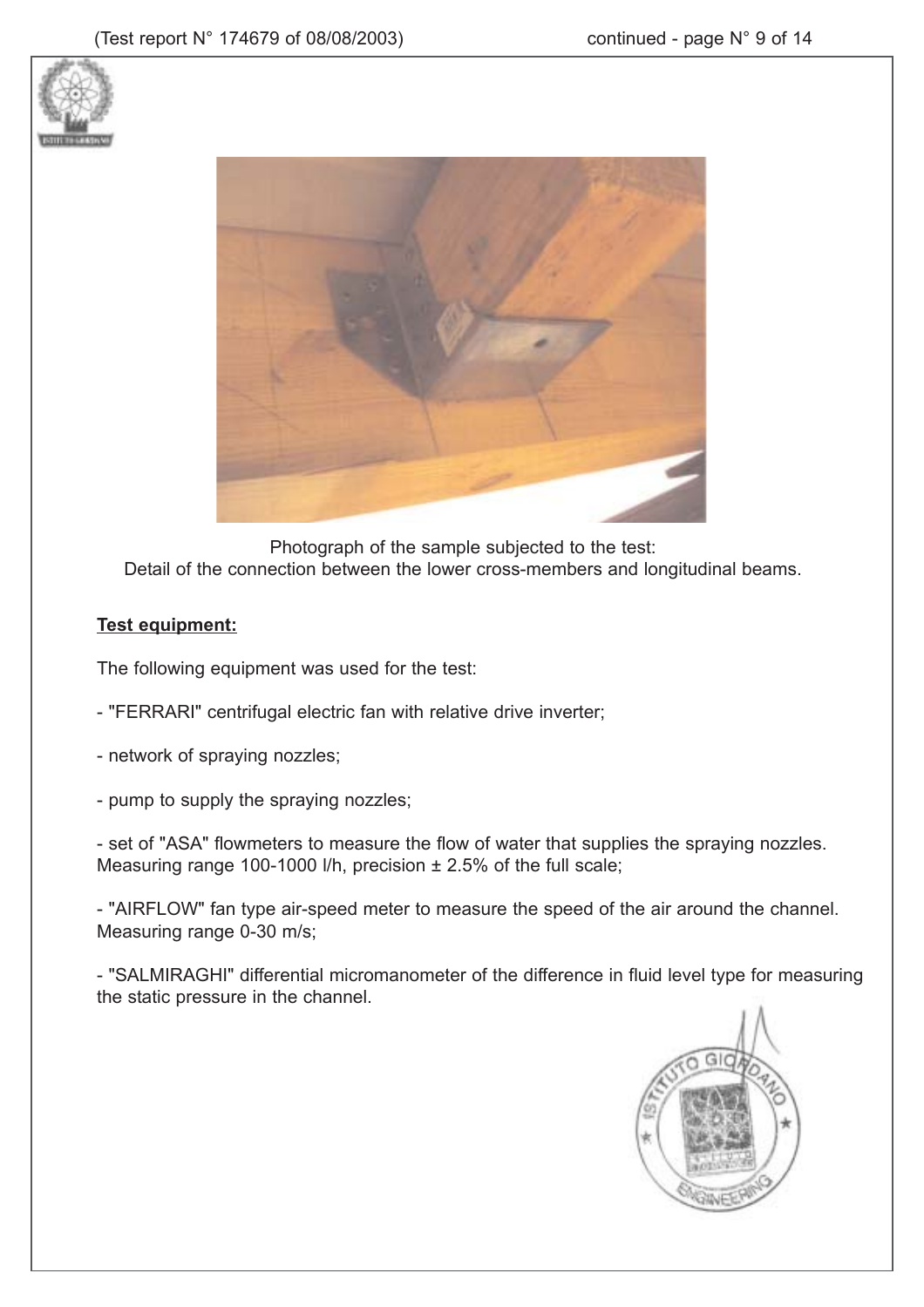



Photograph of the sample subjected to the test: Detail of the connection between the lower cross-members and longitudinal beams.

### **Test equipment:**

The following equipment was used for the test:

- "FERRARI" centrifugal electric fan with relative drive inverter;
- network of spraying nozzles;
- pump to supply the spraying nozzles;

- set of "ASA" flowmeters to measure the flow of water that supplies the spraying nozzles. Measuring range 100-1000 l/h, precision ± 2.5% of the full scale;

- "AIRFLOW" fan type air-speed meter to measure the speed of the air around the channel. Measuring range 0-30 m/s;

- "SALMIRAGHI" differential micromanometer of the difference in fluid level type for measuring the static pressure in the channel.

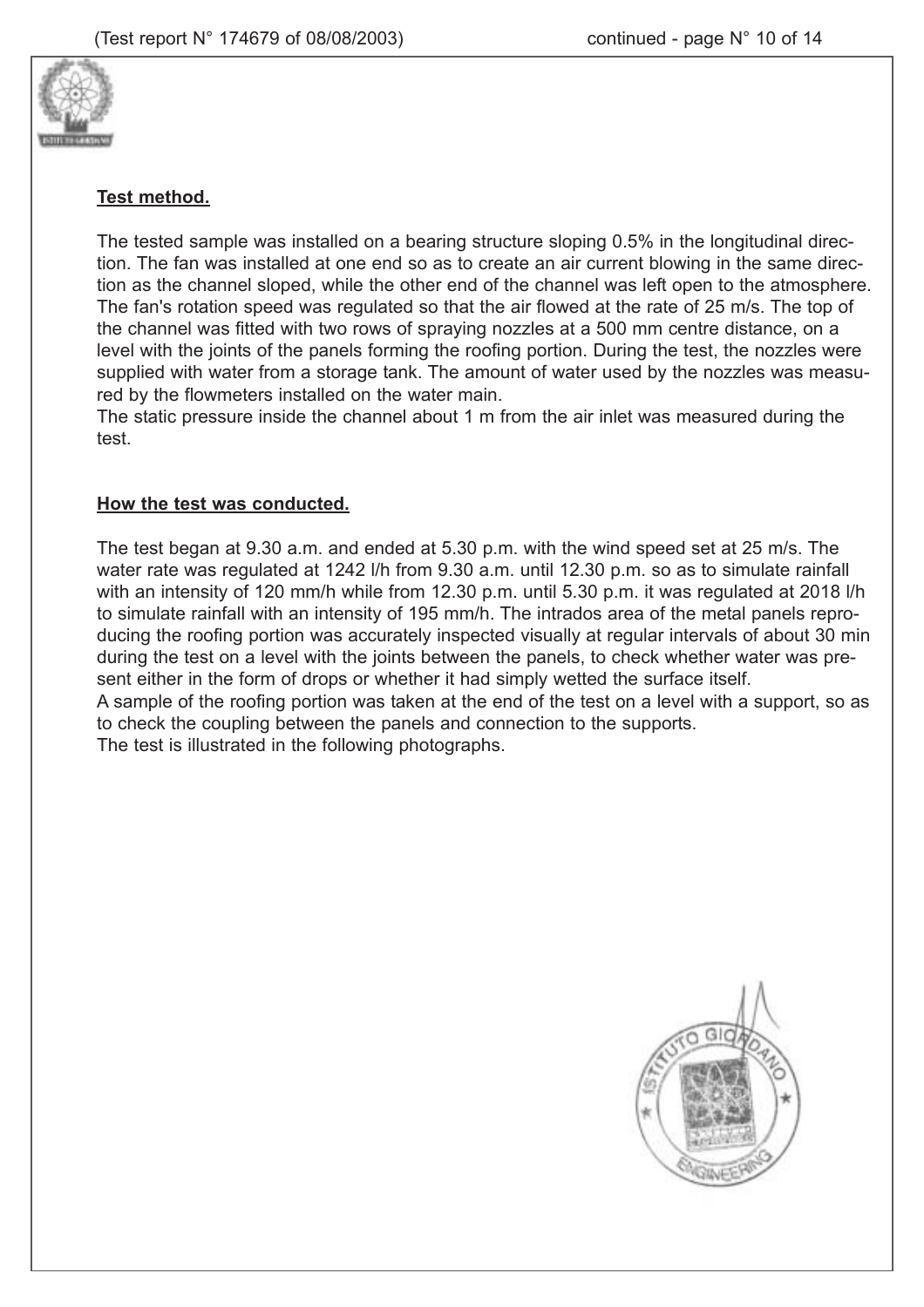

### **Test method.**

The tested sample was installed on a bearing structure sloping 0.5% in the longitudinal direction. The fan was installed at one end so as to create an air current blowing in the same direction as the channel sloped, while the other end of the channel was left open to the atmosphere. The fan's rotation speed was regulated so that the air flowed at the rate of 25 m/s. The top of the channel was fitted with two rows of spraying nozzles at a 500 mm centre distance, on a level with the joints of the panels forming the roofing portion. During the test, the nozzles were supplied with water from a storage tank. The amount of water used by the nozzles was measured by the flowmeters installed on the water main.

The static pressure inside the channel about 1 m from the air inlet was measured during the test.

#### **How the test was conducted.**

The test began at 9.30 a.m. and ended at 5.30 p.m. with the wind speed set at 25 m/s. The water rate was regulated at 1242 l/h from 9.30 a.m. until 12.30 p.m. so as to simulate rainfall with an intensity of 120 mm/h while from 12.30 p.m. until 5.30 p.m. it was regulated at 2018 l/h to simulate rainfall with an intensity of 195 mm/h. The intrados area of the metal panels reproducing the roofing portion was accurately inspected visually at regular intervals of about 30 min during the test on a level with the joints between the panels, to check whether water was present either in the form of drops or whether it had simply wetted the surface itself. A sample of the roofing portion was taken at the end of the test on a level with a support, so as to check the coupling between the panels and connection to the supports. The test is illustrated in the following photographs.

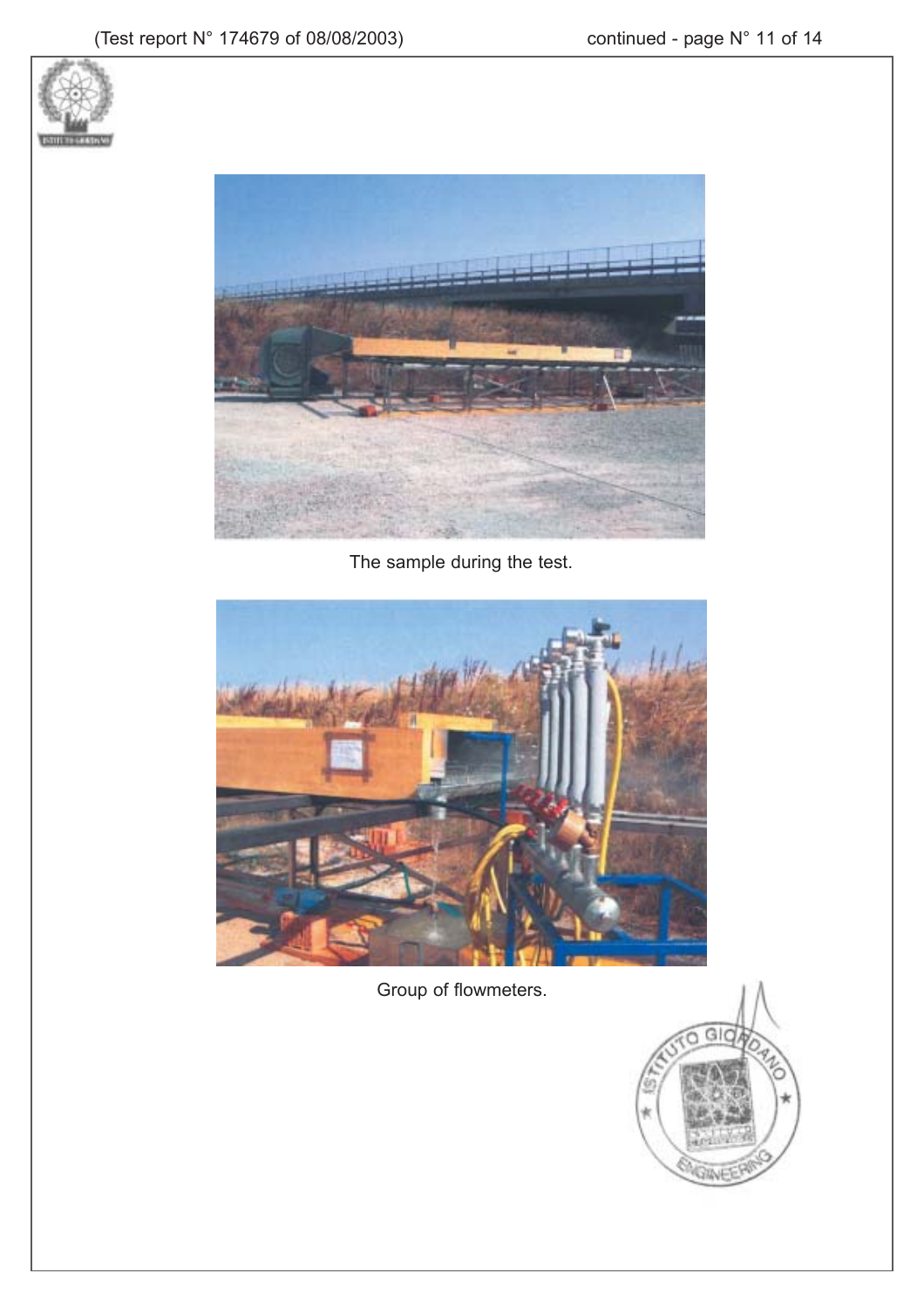



The sample during the test.



Group of flowmeters.

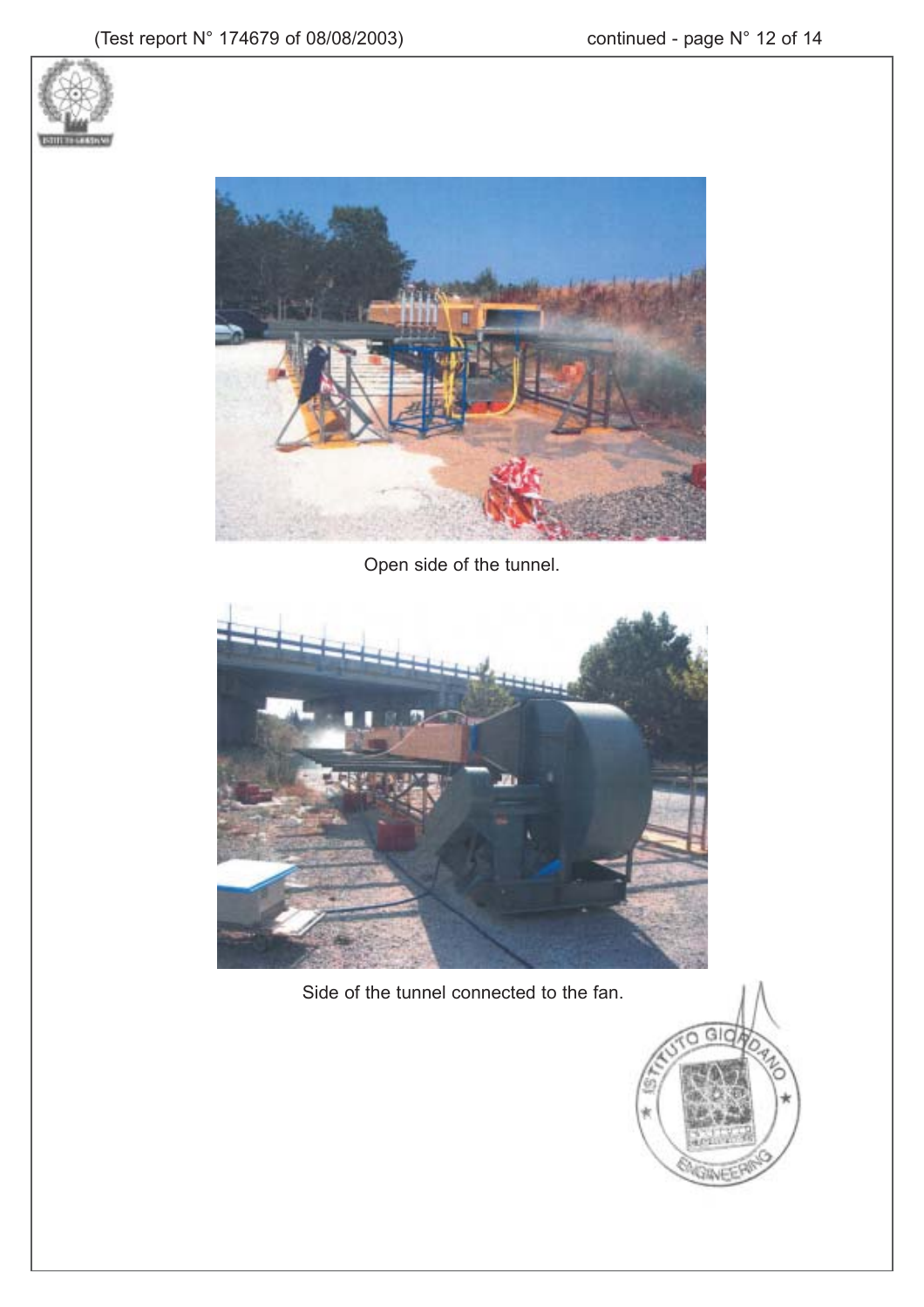



Open side of the tunnel.



Side of the tunnel connected to the fan.

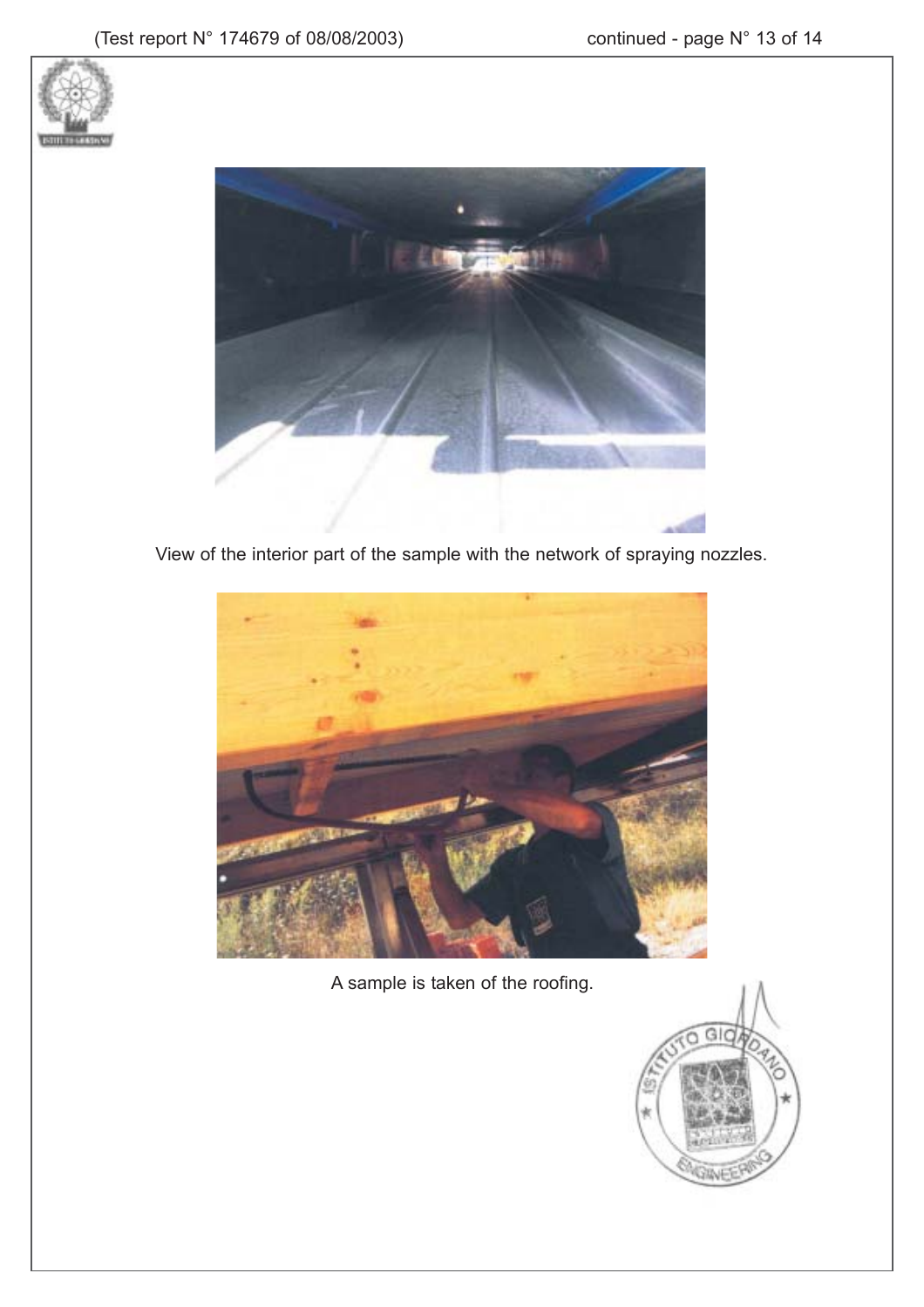



View of the interior part of the sample with the network of spraying nozzles.



A sample is taken of the roofing.